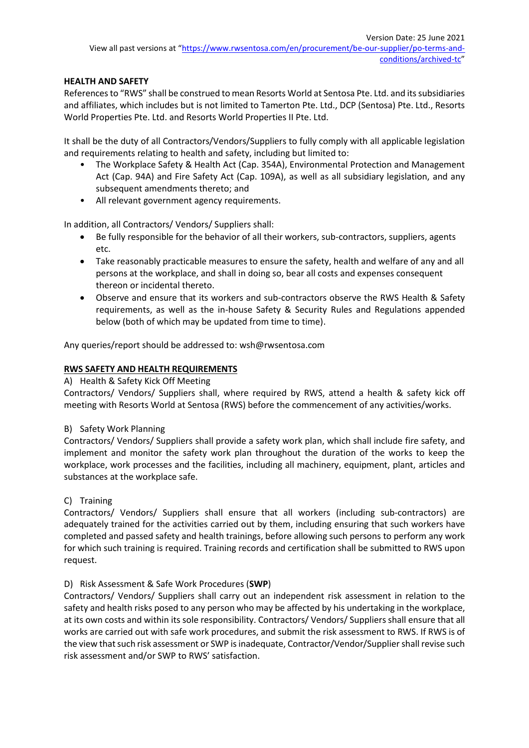# **HEALTH AND SAFETY**

References to "RWS" shall be construed to mean Resorts World at Sentosa Pte. Ltd. and its subsidiaries and affiliates, which includes but is not limited to Tamerton Pte. Ltd., DCP (Sentosa) Pte. Ltd., Resorts World Properties Pte. Ltd. and Resorts World Properties II Pte. Ltd.

It shall be the duty of all Contractors/Vendors/Suppliers to fully comply with all applicable legislation and requirements relating to health and safety, including but limited to:

- The Workplace Safety & Health Act (Cap. 354A), Environmental Protection and Management Act (Cap. 94A) and Fire Safety Act (Cap. 109A), as well as all subsidiary legislation, and any subsequent amendments thereto; and
- All relevant government agency requirements.

In addition, all Contractors/ Vendors/ Suppliers shall:

- Be fully responsible for the behavior of all their workers, sub-contractors, suppliers, agents etc.
- Take reasonably practicable measures to ensure the safety, health and welfare of any and all persons at the workplace, and shall in doing so, bear all costs and expenses consequent thereon or incidental thereto.
- Observe and ensure that its workers and sub-contractors observe the RWS Health & Safety requirements, as well as the in-house Safety & Security Rules and Regulations appended below (both of which may be updated from time to time).

Any queries/report should be addressed to: wsh@rwsentosa.com

# **RWS SAFETY AND HEALTH REQUIREMENTS**

#### A) Health & Safety Kick Off Meeting

Contractors/ Vendors/ Suppliers shall, where required by RWS, attend a health & safety kick off meeting with Resorts World at Sentosa (RWS) before the commencement of any activities/works.

#### B) Safety Work Planning

Contractors/ Vendors/ Suppliers shall provide a safety work plan, which shall include fire safety, and implement and monitor the safety work plan throughout the duration of the works to keep the workplace, work processes and the facilities, including all machinery, equipment, plant, articles and substances at the workplace safe.

#### C) Training

Contractors/ Vendors/ Suppliers shall ensure that all workers (including sub-contractors) are adequately trained for the activities carried out by them, including ensuring that such workers have completed and passed safety and health trainings, before allowing such persons to perform any work for which such training is required. Training records and certification shall be submitted to RWS upon request.

#### D) Risk Assessment & Safe Work Procedures (**SWP**)

Contractors/ Vendors/ Suppliers shall carry out an independent risk assessment in relation to the safety and health risks posed to any person who may be affected by his undertaking in the workplace, at its own costs and within its sole responsibility. Contractors/ Vendors/ Suppliers shall ensure that all works are carried out with safe work procedures, and submit the risk assessment to RWS. If RWS is of the view that such risk assessment or SWP is inadequate, Contractor/Vendor/Supplier shall revise such risk assessment and/or SWP to RWS' satisfaction.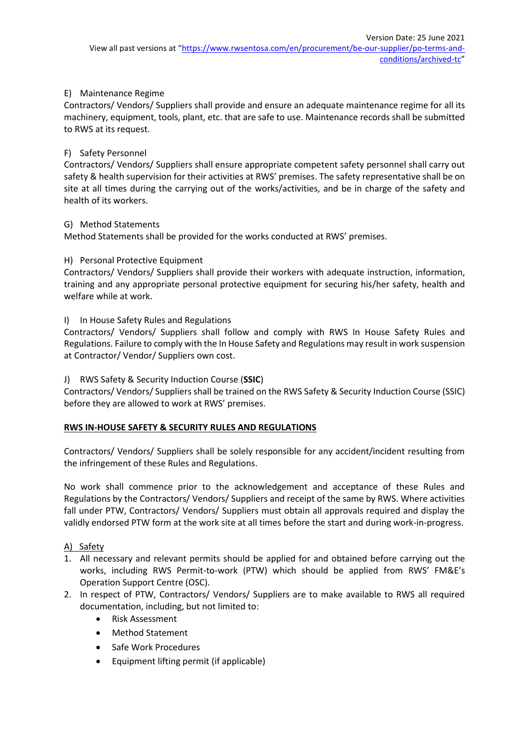# E) Maintenance Regime

Contractors/ Vendors/ Suppliers shall provide and ensure an adequate maintenance regime for all its machinery, equipment, tools, plant, etc. that are safe to use. Maintenance records shall be submitted to RWS at its request.

#### F) Safety Personnel

Contractors/ Vendors/ Suppliers shall ensure appropriate competent safety personnel shall carry out safety & health supervision for their activities at RWS' premises. The safety representative shall be on site at all times during the carrying out of the works/activities, and be in charge of the safety and health of its workers.

#### G) Method Statements

Method Statements shall be provided for the works conducted at RWS' premises.

#### H) Personal Protective Equipment

Contractors/ Vendors/ Suppliers shall provide their workers with adequate instruction, information, training and any appropriate personal protective equipment for securing his/her safety, health and welfare while at work.

#### I) In House Safety Rules and Regulations

Contractors/ Vendors/ Suppliers shall follow and comply with RWS In House Safety Rules and Regulations. Failure to comply with the In House Safety and Regulations may result in work suspension at Contractor/ Vendor/ Suppliers own cost.

# J) RWS Safety & Security Induction Course (**SSIC**)

Contractors/ Vendors/ Suppliers shall be trained on the RWS Safety & Security Induction Course (SSIC) before they are allowed to work at RWS' premises.

#### **RWS IN-HOUSE SAFETY & SECURITY RULES AND REGULATIONS**

Contractors/ Vendors/ Suppliers shall be solely responsible for any accident/incident resulting from the infringement of these Rules and Regulations.

No work shall commence prior to the acknowledgement and acceptance of these Rules and Regulations by the Contractors/ Vendors/ Suppliers and receipt of the same by RWS. Where activities fall under PTW, Contractors/ Vendors/ Suppliers must obtain all approvals required and display the validly endorsed PTW form at the work site at all times before the start and during work-in-progress.

#### A) Safety

- 1. All necessary and relevant permits should be applied for and obtained before carrying out the works, including RWS Permit-to-work (PTW) which should be applied from RWS' FM&E's Operation Support Centre (OSC).
- 2. In respect of PTW, Contractors/ Vendors/ Suppliers are to make available to RWS all required documentation, including, but not limited to:
	- Risk Assessment
	- Method Statement
	- Safe Work Procedures
	- Equipment lifting permit (if applicable)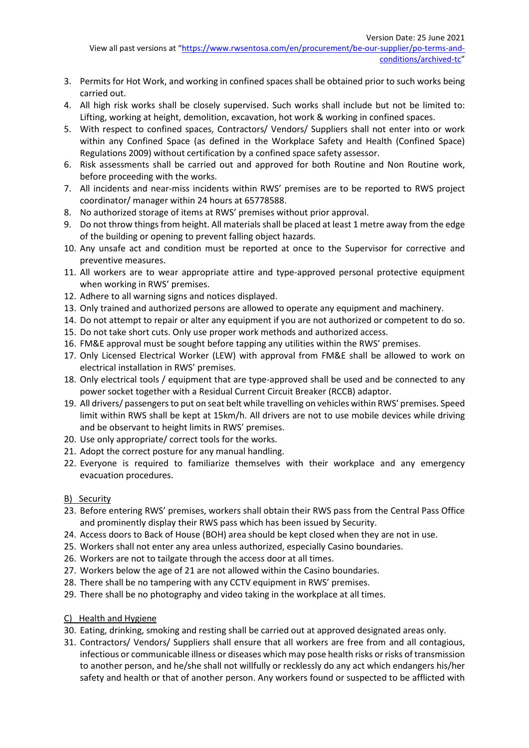- 3. Permits for Hot Work, and working in confined spaces shall be obtained prior to such works being carried out.
- 4. All high risk works shall be closely supervised. Such works shall include but not be limited to: Lifting, working at height, demolition, excavation, hot work & working in confined spaces.
- 5. With respect to confined spaces, Contractors/ Vendors/ Suppliers shall not enter into or work within any Confined Space (as defined in the Workplace Safety and Health (Confined Space) Regulations 2009) without certification by a confined space safety assessor.
- 6. Risk assessments shall be carried out and approved for both Routine and Non Routine work, before proceeding with the works.
- 7. All incidents and near-miss incidents within RWS' premises are to be reported to RWS project coordinator/ manager within 24 hours at 65778588.
- 8. No authorized storage of items at RWS' premises without prior approval.
- 9. Do not throw things from height. All materials shall be placed at least 1 metre away from the edge of the building or opening to prevent falling object hazards.
- 10. Any unsafe act and condition must be reported at once to the Supervisor for corrective and preventive measures.
- 11. All workers are to wear appropriate attire and type-approved personal protective equipment when working in RWS' premises.
- 12. Adhere to all warning signs and notices displayed.
- 13. Only trained and authorized persons are allowed to operate any equipment and machinery.
- 14. Do not attempt to repair or alter any equipment if you are not authorized or competent to do so.
- 15. Do not take short cuts. Only use proper work methods and authorized access.
- 16. FM&E approval must be sought before tapping any utilities within the RWS' premises.
- 17. Only Licensed Electrical Worker (LEW) with approval from FM&E shall be allowed to work on electrical installation in RWS' premises.
- 18. Only electrical tools / equipment that are type-approved shall be used and be connected to any power socket together with a Residual Current Circuit Breaker (RCCB) adaptor.
- 19. All drivers/ passengers to put on seat belt while travelling on vehicles within RWS' premises. Speed limit within RWS shall be kept at 15km/h. All drivers are not to use mobile devices while driving and be observant to height limits in RWS' premises.
- 20. Use only appropriate/ correct tools for the works.
- 21. Adopt the correct posture for any manual handling.
- 22. Everyone is required to familiarize themselves with their workplace and any emergency evacuation procedures.

#### B) Security

- 23. Before entering RWS' premises, workers shall obtain their RWS pass from the Central Pass Office and prominently display their RWS pass which has been issued by Security.
- 24. Access doors to Back of House (BOH) area should be kept closed when they are not in use.
- 25. Workers shall not enter any area unless authorized, especially Casino boundaries.
- 26. Workers are not to tailgate through the access door at all times.
- 27. Workers below the age of 21 are not allowed within the Casino boundaries.
- 28. There shall be no tampering with any CCTV equipment in RWS' premises.
- 29. There shall be no photography and video taking in the workplace at all times.
- C) Health and Hygiene
- 30. Eating, drinking, smoking and resting shall be carried out at approved designated areas only.
- 31. Contractors/ Vendors/ Suppliers shall ensure that all workers are free from and all contagious, infectious or communicable illness or diseases which may pose health risks or risks of transmission to another person, and he/she shall not willfully or recklessly do any act which endangers his/her safety and health or that of another person. Any workers found or suspected to be afflicted with